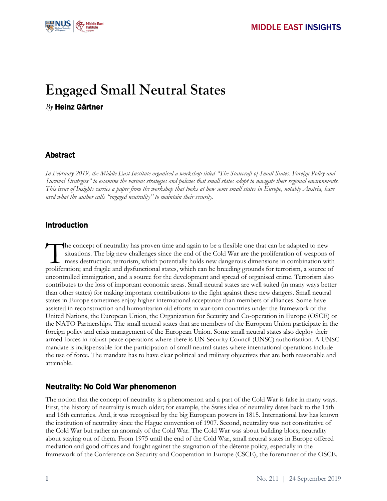

# **Engaged Small Neutral States**

## *By* Heinz Gärtner

#### Abstract

*In February 2019, the Middle East Institute organised a workshop titled "The Statecraft of Small States: Foreign Policy and Survival Strategies" to examine the various strategies and policies that small states adopt to navigate their regional environments. This issue of Insights carries a paper from the workshop that looks at how some small states in Europe, notably Austria, have used what the author calls "engaged neutrality" to maintain their security.*

#### Introduction

he concept of neutrality has proven time and again to be a flexible one that can be adapted to new situations. The big new challenges since the end of the Cold War are the proliferation of weapons of mass destruction; terrorism, which potentially holds new dangerous dimensions in combination with The concept of neutrality has proven time and again to be a flexible one that can be adapted to new situations. The big new challenges since the end of the Cold War are the proliferation of weapons of mass destruction; ter uncontrolled immigration, and a source for the development and spread of organised crime. Terrorism also contributes to the loss of important economic areas. Small neutral states are well suited (in many ways better than other states) for making important contributions to the fight against these new dangers. Small neutral states in Europe sometimes enjoy higher international acceptance than members of alliances. Some have assisted in reconstruction and humanitarian aid efforts in war-torn countries under the framework of the United Nations, the European Union, the Organization for Security and Co-operation in Europe (OSCE) or the NATO Partnerships. The small neutral states that are members of the European Union participate in the foreign policy and crisis management of the European Union. Some small neutral states also deploy their armed forces in robust peace operations where there is UN Security Council (UNSC) authorisation. A UNSC mandate is indispensable for the participation of small neutral states where international operations include the use of force. The mandate has to have clear political and military objectives that are both reasonable and attainable.

# Neutrality: No Cold War phenomenon

The notion that the concept of neutrality is a phenomenon and a part of the Cold War is false in many ways. First, the history of neutrality is much older; for example, the Swiss idea of neutrality dates back to the 15th and 16th centuries. And, it was recognised by the big European powers in 1815. International law has known the institution of neutrality since the Hague convention of 1907. Second, neutrality was not constitutive of the Cold War but rather an anomaly of the Cold War. The Cold War was about building blocs; neutrality about staying out of them. From 1975 until the end of the Cold War, small neutral states in Europe offered mediation and good offices and fought against the stagnation of the détente policy, especially in the framework of the Conference on Security and Cooperation in Europe (CSCE), the forerunner of the OSCE.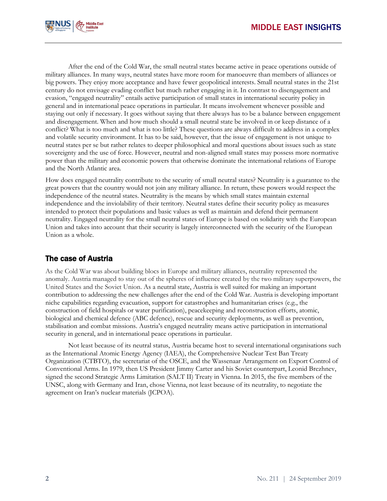

After the end of the Cold War, the small neutral states became active in peace operations outside of military alliances. In many ways, neutral states have more room for manoeuvre than members of alliances or big powers. They enjoy more acceptance and have fewer geopolitical interests. Small neutral states in the 21st century do not envisage evading conflict but much rather engaging in it. In contrast to disengagement and evasion, "engaged neutrality" entails active participation of small states in international security policy in general and in international peace operations in particular. It means involvement whenever possible and staying out only if necessary. It goes without saying that there always has to be a balance between engagement and disengagement. When and how much should a small neutral state be involved in or keep distance of a conflict? What is too much and what is too little? These questions are always difficult to address in a complex and volatile security environment. It has to be said, however, that the issue of engagement is not unique to neutral states per se but rather relates to deeper philosophical and moral questions about issues such as state sovereignty and the use of force. However, neutral and non-aligned small states may possess more normative power than the military and economic powers that otherwise dominate the international relations of Europe and the North Atlantic area.

How does engaged neutrality contribute to the security of small neutral states? Neutrality is a guarantee to the great powers that the country would not join any military alliance. In return, these powers would respect the independence of the neutral states. Neutrality is the means by which small states maintain external independence and the inviolability of their territory. Neutral states define their security policy as measures intended to protect their populations and basic values as well as maintain and defend their permanent neutrality. Engaged neutrality for the small neutral states of Europe is based on solidarity with the European Union and takes into account that their security is largely interconnected with the security of the European Union as a whole.

# The case of Austria

As the Cold War was about building blocs in Europe and military alliances, neutrality represented the anomaly. Austria managed to stay out of the spheres of influence created by the two military superpowers, the United States and the Soviet Union. As a neutral state, Austria is well suited for making an important contribution to addressing the new challenges after the end of the Cold War. Austria is developing important niche capabilities regarding evacuation, support for catastrophes and humanitarian crises (e.g., the construction of field hospitals or water purification), peacekeeping and reconstruction efforts, atomic, biological and chemical defence (ABC defence), rescue and security deployments, as well as prevention, stabilisation and combat missions. Austria's engaged neutrality means active participation in international security in general, and in international peace operations in particular.

Not least because of its neutral status, Austria became host to several international organisations such as the International Atomic Energy Agency (IAEA), the Comprehensive Nuclear Test Ban Treaty Organization (CTBTO), the secretariat of the OSCE, and the Wassenaar Arrangement on Export Control of Conventional Arms. In 1979, then US President Jimmy Carter and his Soviet counterpart, Leonid Brezhnev, signed the second Strategic Arms Limitation (SALT II) Treaty in Vienna. In 2015, the five members of the UNSC, along with Germany and Iran, chose Vienna, not least because of its neutrality, to negotiate the agreement on Iran's nuclear materials (JCPOA).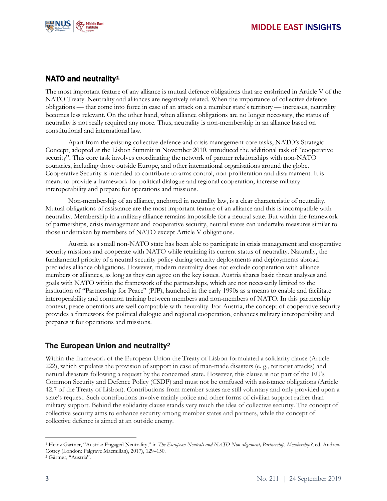

# NATO and neutrality<sup>[1](#page-2-0)</sup>

The most important feature of any alliance is mutual defence obligations that are enshrined in Article V of the NATO Treaty. Neutrality and alliances are negatively related. When the importance of collective defence obligations — that come into force in case of an attack on a member state's territory — increases, neutrality becomes less relevant. On the other hand, when alliance obligations are no longer necessary, the status of neutrality is not really required any more. Thus, neutrality is non-membership in an alliance based on constitutional and international law.

Apart from the existing collective defence and crisis management core tasks, NATO's Strategic Concept, adopted at the Lisbon Summit in November 2010, introduced the additional task of "cooperative security". This core task involves coordinating the network of partner relationships with non-NATO countries, including those outside Europe, and other international organisations around the globe. Cooperative Security is intended to contribute to arms control, non-proliferation and disarmament. It is meant to provide a framework for political dialogue and regional cooperation, increase military interoperability and prepare for operations and missions.

Non-membership of an alliance, anchored in neutrality law, is a clear characteristic of neutrality. Mutual obligations of assistance are the most important feature of an alliance and this is incompatible with neutrality. Membership in a military alliance remains impossible for a neutral state. But within the framework of partnerships, crisis management and cooperative security, neutral states can undertake measures similar to those undertaken by members of NATO except Article V obligations.

Austria as a small non-NATO state has been able to participate in crisis management and cooperative security missions and cooperate with NATO while retaining its current status of neutrality. Naturally, the fundamental priority of a neutral security policy during security deployments and deployments abroad precludes alliance obligations. However, modern neutrality does not exclude cooperation with alliance members or alliances, as long as they can agree on the key issues. Austria shares basic threat analyses and goals with NATO within the framework of the partnerships, which are not necessarily limited to the institution of "Partnership for Peace" (PfP), launched in the early 1990s as a means to enable and facilitate interoperability and common training between members and non-members of NATO. In this partnership context, peace operations are well compatible with neutrality. For Austria, the concept of cooperative security provides a framework for political dialogue and regional cooperation, enhances military interoperability and prepares it for operations and missions.

# The European Union and neutrality[2](#page-2-1)

Within the framework of the European Union the Treaty of Lisbon formulated a solidarity clause (Article 222), which stipulates the provision of support in case of man-made disasters (e. g., terrorist attacks) and natural disasters following a request by the concerned state. However, this clause is not part of the EU's Common Security and Defence Policy (CSDP) and must not be confused with assistance obligations (Article 42.7 of the Treaty of Lisbon). Contributions from member states are still voluntary and only provided upon a state's request. Such contributions involve mainly police and other forms of civilian support rather than military support. Behind the solidarity clause stands very much the idea of collective security. The concept of collective security aims to enhance security among member states and partners, while the concept of collective defence is aimed at an outside enemy.

<span id="page-2-0"></span> $\overline{a}$ <sup>1</sup> Heinz Gärtner, "Austria: Engaged Neutrality," in *The European Neutrals and NATO Non-alignment, Partnership, Membership?*, ed. Andrew Cottey (London: Palgrave Macmillan), 2017), 129–150.

<span id="page-2-1"></span><sup>2</sup> Gärtner, "Austria".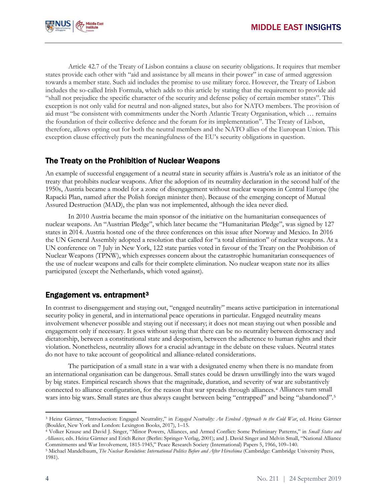

Article 42.7 of the Treaty of Lisbon contains a clause on security obligations. It requires that member states provide each other with "aid and assistance by all means in their power" in case of armed aggression towards a member state. Such aid includes the promise to use military force. However, the Treaty of Lisbon includes the so-called Irish Formula, which adds to this article by stating that the requirement to provide aid "shall not prejudice the specific character of the security and defense policy of certain member states". This exception is not only valid for neutral and non-aligned states, but also for NATO members. The provision of aid must "be consistent with commitments under the North Atlantic Treaty Organisation, which … remains the foundation of their collective defence and the forum for its implementation". The Treaty of Lisbon, therefore, allows opting out for both the neutral members and the NATO allies of the European Union. This exception clause effectively puts the meaningfulness of the EU's security obligations in question.

## The Treaty on the Prohibition of Nuclear Weapons

An example of successful engagement of a neutral state in security affairs is Austria's role as an initiator of the treaty that prohibits nuclear weapons. After the adoption of its neutrality declaration in the second half of the 1950s, Austria became a model for a zone of disengagement without nuclear weapons in Central Europe (the Rapacki Plan, named after the Polish foreign minister then). Because of the emerging concept of Mutual Assured Destruction (MAD), the plan was not implemented, although the idea never died.

In 2010 Austria became the main sponsor of the initiative on the humanitarian consequences of nuclear weapons. An "Austrian Pledge", which later became the "Humanitarian Pledge", was signed by 127 states in 2014. Austria hosted one of the three conferences on this issue after Norway and Mexico. In 2016 the UN General Assembly adopted a resolution that called for "a total elimination" of nuclear weapons. At a UN conference on 7 July in New York, 122 state parties voted in favour of the Treaty on the Prohibition of Nuclear Weapons (TPNW), which expresses concern about the catastrophic humanitarian consequences of the use of nuclear weapons and calls for their complete elimination. No nuclear weapon state nor its allies participated (except the Netherlands, which voted against).

# Engagement vs. entrapment[3](#page-3-0)

In contrast to disengagement and staying out, "engaged neutrality" means active participation in international security policy in general, and in international peace operations in particular. Engaged neutrality means involvement whenever possible and staying out if necessary; it does not mean staying out when possible and engagement only if necessary. It goes without saying that there can be no neutrality between democracy and dictatorship, between a constitutional state and despotism, between the adherence to human rights and their violation. Nonetheless, neutrality allows for a crucial advantage in the debate on these values. Neutral states do not have to take account of geopolitical and alliance-related considerations.

The participation of a small state in a war with a designated enemy when there is no mandate from an international organisation can be dangerous. Small states could be drawn unwillingly into the wars waged by big states. Empirical research shows that the magnitude, duration, and severity of war are substantively connected to alliance configuration, for the reason that war spreads through alliances.[4](#page-3-1) Alliances turn small wars into big wars. Small states are thus always caught between being "entrapped" and being "abandoned".<sup>[5](#page-3-2)</sup>

 $\overline{a}$ 

<span id="page-3-0"></span><sup>3</sup> Heinz Gärtner, "Introduction: Engaged Neutrality," in *Engaged Neutrality: An Evolved Approach to the Cold War*, ed. Heinz Gärtner (Boulder, New York and London: Lexington Books, 2017), 1–15.

<span id="page-3-1"></span><sup>4</sup> Volker Krause and David J. Singer, "Minor Powers, Alliances, and Armed Conflict: Some Preliminary Patterns," in *Small States and Alliances,* eds. Heinz Gärtner and Erich Reiter (Berlin: Springer-Verlag, 2001); and J. David Singer and Melvin Small, "National Alliance Commitments and War Involvement, 1815-1945," Peace Research Society (International) Papers 5, 1966, 109–140.

<span id="page-3-2"></span><sup>5</sup> Michael Mandelbaum, *The Nuclear Revolution: International Politics Before and After Hiroshima* (Cambridge: Cambridge University Press, 1981).